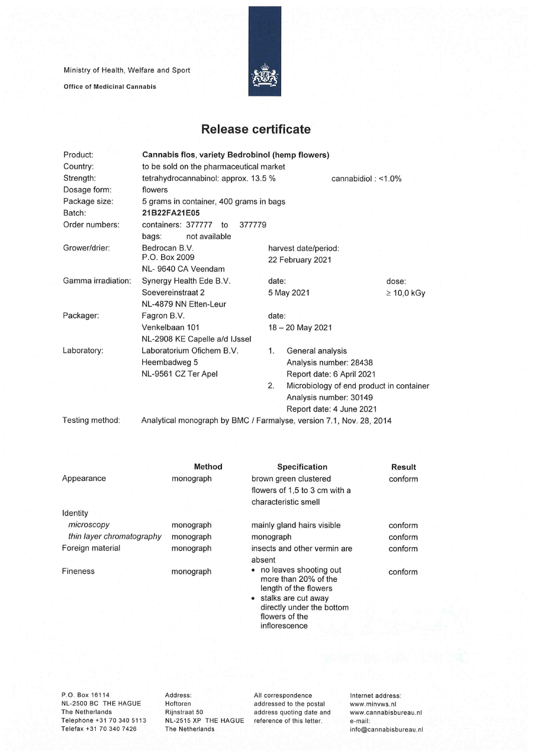Ministry of Health, Welfare and Sport

**Office of Medicinat Cannabis** 



## **Release certificate**

| Product:           | Cannabis flos, variety Bedrobinol (hemp flowers)                    |       |                                          |                 |  |
|--------------------|---------------------------------------------------------------------|-------|------------------------------------------|-----------------|--|
| Country:           | to be sold on the pharmaceutical market                             |       |                                          |                 |  |
| Strength:          | tetrahydrocannabinol: approx. 13.5 %<br>cannabidiol: $< 1.0\%$      |       |                                          |                 |  |
| Dosage form:       | flowers                                                             |       |                                          |                 |  |
| Package size:      | 5 grams in container, 400 grams in bags                             |       |                                          |                 |  |
| Batch:             | 21B22FA21E05                                                        |       |                                          |                 |  |
| Order numbers:     | containers: 377777<br>377779<br>$\mathsf{to}$                       |       |                                          |                 |  |
|                    | not available<br>bags:                                              |       |                                          |                 |  |
| Grower/drier:      | Bedrocan B.V.                                                       |       | harvest date/period:                     |                 |  |
|                    | P.O. Box 2009                                                       |       | 22 February 2021                         |                 |  |
|                    | NL-9640 CA Veendam                                                  |       |                                          |                 |  |
| Gamma irradiation: | Synergy Health Ede B.V.                                             | date: |                                          | dose:           |  |
|                    | Soevereinstraat 2                                                   |       | 5 May 2021                               | $\geq 10,0$ kGy |  |
|                    | NL-4879 NN Etten-Leur                                               |       |                                          |                 |  |
| Packager:          | Fagron B.V.                                                         | date: |                                          |                 |  |
|                    | Venkelbaan 101                                                      |       | 18 - 20 May 2021                         |                 |  |
|                    | NL-2908 KE Capelle a/d IJssel                                       |       |                                          |                 |  |
| Laboratory:        | Laboratorium Ofichem B.V.                                           | 1.    | General analysis                         |                 |  |
|                    | Heembadweg 5                                                        |       | Analysis number: 28438                   |                 |  |
|                    | NL-9561 CZ Ter Apel                                                 |       | Report date: 6 April 2021                |                 |  |
|                    |                                                                     | 2.    | Microbiology of end product in container |                 |  |
|                    |                                                                     |       | Analysis number: 30149                   |                 |  |
|                    |                                                                     |       | Report date: 4 June 2021                 |                 |  |
| Testing method:    | Analytical monograph by BMC / Farmalyse, version 7.1, Nov. 28, 2014 |       |                                          |                 |  |

|                           | <b>Method</b> | <b>Specification</b>                                                                  | Result  |
|---------------------------|---------------|---------------------------------------------------------------------------------------|---------|
| Appearance                | monograph     | brown green clustered                                                                 | conform |
|                           |               | flowers of 1,5 to 3 cm with a                                                         |         |
|                           |               | characteristic smell                                                                  |         |
| Identity                  |               |                                                                                       |         |
| microscopy                | monograph     | mainly gland hairs visible                                                            | conform |
| thin layer chromatography | monograph     | monograph                                                                             | conform |
| Foreign material          | monograph     | insects and other vermin are                                                          | conform |
|                           |               | absent                                                                                |         |
| <b>Fineness</b>           | monograph     | • no leaves shooting out<br>more than 20% of the<br>length of the flowers             | conform |
|                           |               | • stalks are cut away<br>directly under the bottom<br>flowers of the<br>inflorescence |         |
|                           |               |                                                                                       |         |

P.O. Box 16114 NL-2500 BC THE HAGUE The Netherlands Telephone +31 70 340 5113 Telefax +31 70 340 7426

Address: Hoftoren Rijnstraat 50 The Netherlands

NL-2515 XP THE HAGUE reference of this letter. All correspondence addressed to the postai address quoting date and Internet address: www.minvws.n1 www.cannabisbureau.nl e-mail: info@cannabisbureau.nl